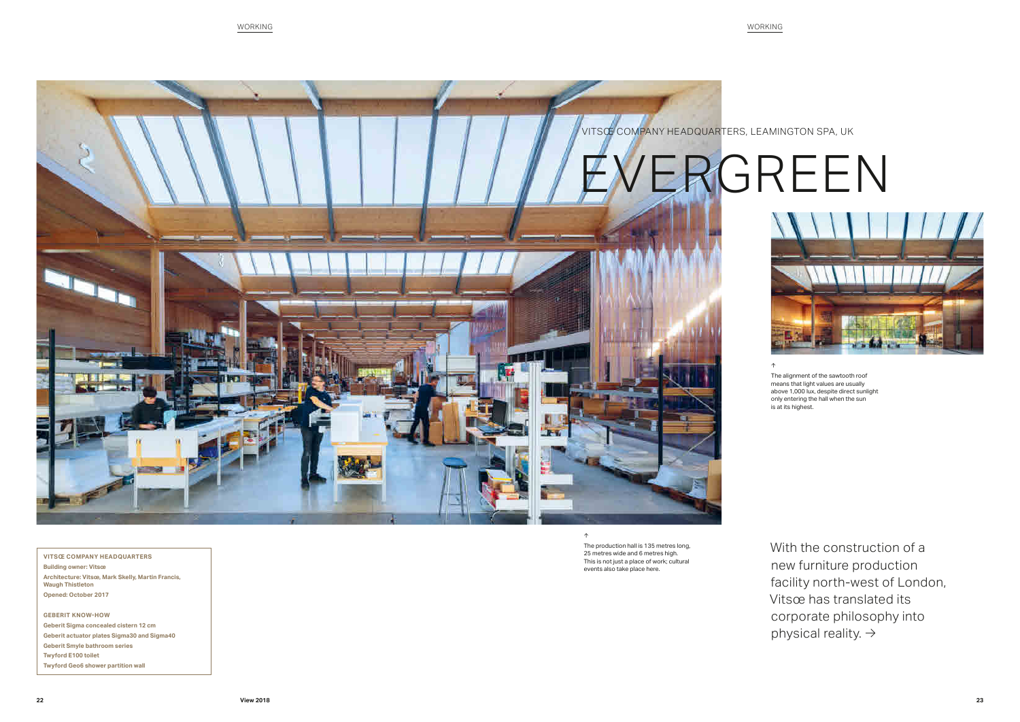





## ↑

With the construction of a new furniture production facility north-west of London, Vitsœ has translated its corporate philosophy into physical reality.  $\rightarrow$ 

The alignment of the sawtooth roof means that light values are usually above 1,000 lux, despite direct sunlight only entering the hall when the sun is at its highest.

**VITSŒ COMPANY HEADQUARTERS Building owner: Vitsœ Architecture: Vitsœ, Mark Skelly, Martin Francis, Waugh Thistleton Opened: October 2017**

**GEBERIT KNOW-HOW Geberit Sigma concealed cistern 12 cm Geberit actuator plates Sigma30 and Sigma40 Geberit Smyle bathroom series Twyford E100 toilet Twyford Geo6 shower partition wall**

↑

The production hall is 135 metres long, 25 metres wide and 6 metres high. This is not just a place of work; cultural events also take place here.